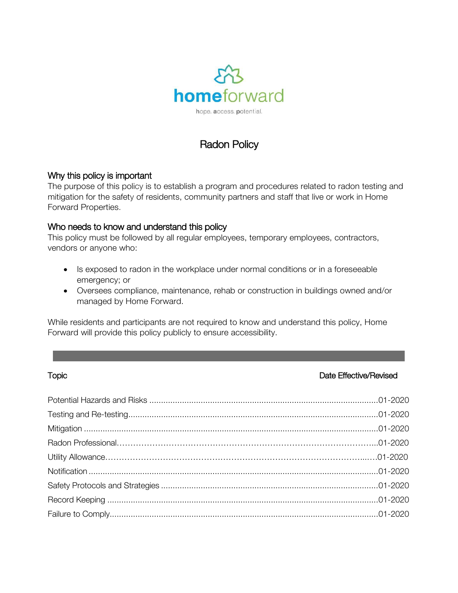

# Radon Policy

# Why this policy is important

The purpose of this policy is to establish a program and procedures related to radon testing and mitigation for the safety of residents, community partners and staff that live or work in Home Forward Properties.

#### Who needs to know and understand this policy

This policy must be followed by all regular employees, temporary employees, contractors, vendors or anyone who:

- Is exposed to radon in the workplace under normal conditions or in a foreseeable emergency; or
- Oversees compliance, maintenance, rehab or construction in buildings owned and/or managed by Home Forward.

While residents and participants are not required to know and understand this policy, Home Forward will provide this policy publicly to ensure accessibility.

# Topic **The Effective/Revised**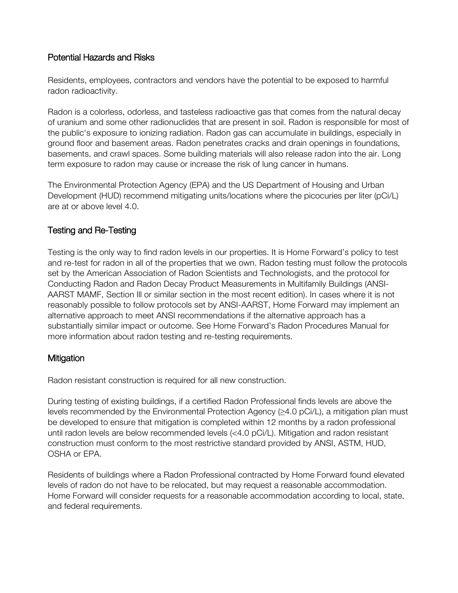# Potential Hazards and Risks

Residents, employees, contractors and vendors have the potential to be exposed to harmful radon radioactivity.

Radon is a colorless, odorless, and tasteless radioactive gas that comes from the natural decay of uranium and some other radionuclides that are present in soil. Radon is responsible for most of the public's exposure to ionizing radiation. Radon gas can accumulate in buildings, especially in ground floor and basement areas. Radon penetrates cracks and drain openings in foundations, basements, and crawl spaces. Some building materials will also release radon into the air. Long term exposure to radon may cause or increase the risk of lung cancer in humans.

The Environmental Protection Agency (EPA) and the US Department of Housing and Urban Development (HUD) recommend mitigating units/locations where the picocuries per liter (pCi/L) are at or above level 4.0.

# Testing and Re-Testing

Testing is the only way to find radon levels in our properties. It is Home Forward's policy to test and re-test for radon in all of the properties that we own. Radon testing must follow the protocols set by the American Association of Radon Scientists and Technologists, and the protocol for Conducting Radon and Radon Decay Product Measurements in Multifamily Buildings (ANSI-AARST MAMF, Section Ill or similar section in the most recent edition). In cases where it is not reasonably possible to follow protocols set by ANSI-AARST, Home Forward may implement an alternative approach to meet ANSI recommendations if the alternative approach has a substantially similar impact or outcome. See Home Forward's Radon Procedures Manual for more information about radon testing and re-testing requirements.

#### **Mitigation**

Radon resistant construction is required for all new construction.

During testing of existing buildings, if a certified Radon Professional finds levels are above the levels recommended by the Environmental Protection Agency  $(\geq 4.0 \text{ pCi/L})$ , a mitigation plan must be developed to ensure that mitigation is completed within 12 months by a radon professional until radon levels are below recommended levels (<4.0 pCi/L). Mitigation and radon resistant construction must conform to the most restrictive standard provided by ANSI, ASTM, HUD, OSHA or EPA.

Residents of buildings where a Radon Professional contracted by Home Forward found elevated levels of radon do not have to be relocated, but may request a reasonable accommodation. Home Forward will consider requests for a reasonable accommodation according to local, state, and federal requirements.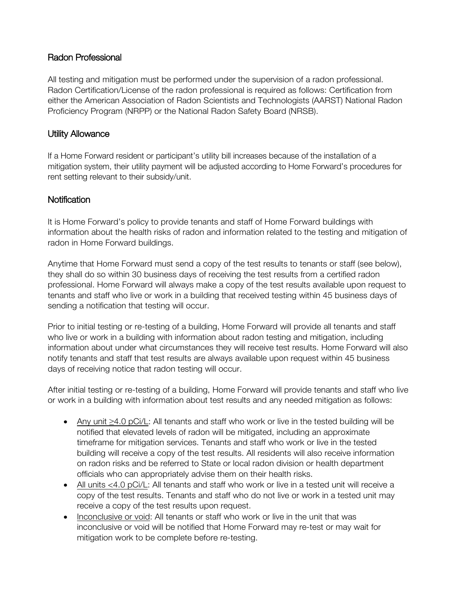# Radon Professional

All testing and mitigation must be performed under the supervision of a radon professional. Radon Certification/License of the radon professional is required as follows: Certification from either the American Association of Radon Scientists and Technologists (AARST) National Radon Proficiency Program (NRPP) or the National Radon Safety Board (NRSB).

# Utility Allowance

If a Home Forward resident or participant's utility bill increases because of the installation of a mitigation system, their utility payment will be adjusted according to Home Forward's procedures for rent setting relevant to their subsidy/unit.

# **Notification**

It is Home Forward's policy to provide tenants and staff of Home Forward buildings with information about the health risks of radon and information related to the testing and mitigation of radon in Home Forward buildings.

Anytime that Home Forward must send a copy of the test results to tenants or staff (see below), they shall do so within 30 business days of receiving the test results from a certified radon professional. Home Forward will always make a copy of the test results available upon request to tenants and staff who live or work in a building that received testing within 45 business days of sending a notification that testing will occur.

Prior to initial testing or re-testing of a building, Home Forward will provide all tenants and staff who live or work in a building with information about radon testing and mitigation, including information about under what circumstances they will receive test results. Home Forward will also notify tenants and staff that test results are always available upon request within 45 business days of receiving notice that radon testing will occur.

After initial testing or re-testing of a building, Home Forward will provide tenants and staff who live or work in a building with information about test results and any needed mitigation as follows:

- Any unit ≥4.0 pCi/L: All tenants and staff who work or live in the tested building will be notified that elevated levels of radon will be mitigated, including an approximate timeframe for mitigation services. Tenants and staff who work or live in the tested building will receive a copy of the test results. All residents will also receive information on radon risks and be referred to State or local radon division or health department officials who can appropriately advise them on their health risks.
- All units <4.0 pCi/L: All tenants and staff who work or live in a tested unit will receive a copy of the test results. Tenants and staff who do not live or work in a tested unit may receive a copy of the test results upon request.
- Inconclusive or void: All tenants or staff who work or live in the unit that was inconclusive or void will be notified that Home Forward may re-test or may wait for mitigation work to be complete before re-testing.